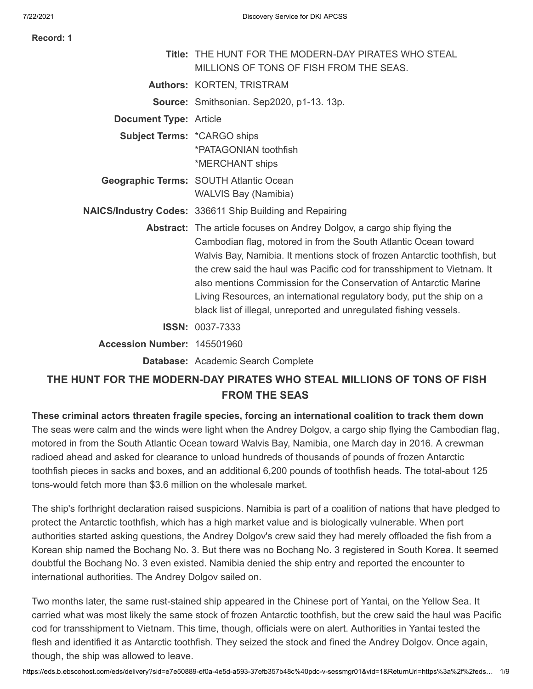THE HUNT FOR THE MODERN-DAY PIRATES WHO STEAL

| Record: 1 |  |
|-----------|--|
|-----------|--|

|                                    | <b>Title: THE HUNT FOR THE MODERN-DAY PIRATES WHO STEAL</b><br>MILLIONS OF TONS OF FISH FROM THE SEAS.                                                                                                                                                                                                                                                                                                                                                                                                                 |
|------------------------------------|------------------------------------------------------------------------------------------------------------------------------------------------------------------------------------------------------------------------------------------------------------------------------------------------------------------------------------------------------------------------------------------------------------------------------------------------------------------------------------------------------------------------|
|                                    | Authors: KORTEN, TRISTRAM                                                                                                                                                                                                                                                                                                                                                                                                                                                                                              |
|                                    | <b>Source:</b> Smithsonian. Sep2020, p1-13. 13p.                                                                                                                                                                                                                                                                                                                                                                                                                                                                       |
| <b>Document Type: Article</b>      |                                                                                                                                                                                                                                                                                                                                                                                                                                                                                                                        |
| <b>Subject Terms: *CARGO ships</b> | *PATAGONIAN toothfish<br>*MERCHANT ships                                                                                                                                                                                                                                                                                                                                                                                                                                                                               |
|                                    | Geographic Terms: SOUTH Atlantic Ocean<br><b>WALVIS Bay (Namibia)</b>                                                                                                                                                                                                                                                                                                                                                                                                                                                  |
|                                    | <b>NAICS/Industry Codes: 336611 Ship Building and Repairing</b>                                                                                                                                                                                                                                                                                                                                                                                                                                                        |
|                                    | Abstract: The article focuses on Andrey Dolgov, a cargo ship flying the<br>Cambodian flag, motored in from the South Atlantic Ocean toward<br>Walvis Bay, Namibia. It mentions stock of frozen Antarctic toothfish, but<br>the crew said the haul was Pacific cod for transshipment to Vietnam. It<br>also mentions Commission for the Conservation of Antarctic Marine<br>Living Resources, an international regulatory body, put the ship on a<br>black list of illegal, unreported and unregulated fishing vessels. |
|                                    | <b>ISSN: 0037-7333</b>                                                                                                                                                                                                                                                                                                                                                                                                                                                                                                 |
| Accession Number: 145501960        |                                                                                                                                                                                                                                                                                                                                                                                                                                                                                                                        |
|                                    | Database: Academic Search Complete                                                                                                                                                                                                                                                                                                                                                                                                                                                                                     |
|                                    |                                                                                                                                                                                                                                                                                                                                                                                                                                                                                                                        |

# **THE HUNT FOR THE MODERN-DAY PIRATES WHO STEAL MILLIONS OF TONS OF FISH FROM THE SEAS**

**These criminal actors threaten fragile species, forcing an international coalition to track them down** The seas were calm and the winds were light when the Andrey Dolgov, a cargo ship flying the Cambodian flag, motored in from the South Atlantic Ocean toward Walvis Bay, Namibia, one March day in 2016. A crewman radioed ahead and asked for clearance to unload hundreds of thousands of pounds of frozen Antarctic toothfish pieces in sacks and boxes, and an additional 6,200 pounds of toothfish heads. The total-about 125 tons-would fetch more than \$3.6 million on the wholesale market.

The ship's forthright declaration raised suspicions. Namibia is part of a coalition of nations that have pledged to protect the Antarctic toothfish, which has a high market value and is biologically vulnerable. When port authorities started asking questions, the Andrey Dolgov's crew said they had merely offloaded the fish from a Korean ship named the Bochang No. 3. But there was no Bochang No. 3 registered in South Korea. It seemed doubtful the Bochang No. 3 even existed. Namibia denied the ship entry and reported the encounter to international authorities. The Andrey Dolgov sailed on.

Two months later, the same rust-stained ship appeared in the Chinese port of Yantai, on the Yellow Sea. It carried what was most likely the same stock of frozen Antarctic toothfish, but the crew said the haul was Pacific cod for transshipment to Vietnam. This time, though, officials were on alert. Authorities in Yantai tested the flesh and identified it as Antarctic toothfish. They seized the stock and fined the Andrey Dolgov. Once again, though, the ship was allowed to leave.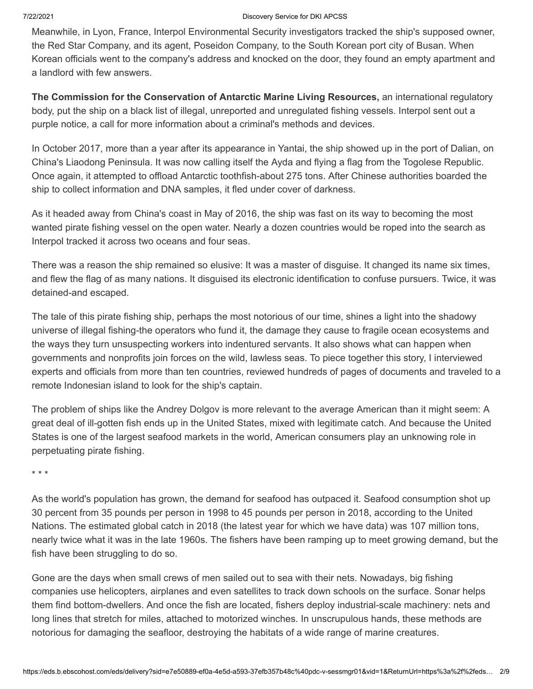Meanwhile, in Lyon, France, Interpol Environmental Security investigators tracked the ship's supposed owner, the Red Star Company, and its agent, Poseidon Company, to the South Korean port city of Busan. When Korean officials went to the company's address and knocked on the door, they found an empty apartment and a landlord with few answers.

**The Commission for the Conservation of Antarctic Marine Living Resources,** an international regulatory body, put the ship on a black list of illegal, unreported and unregulated fishing vessels. Interpol sent out a purple notice, a call for more information about a criminal's methods and devices.

In October 2017, more than a year after its appearance in Yantai, the ship showed up in the port of Dalian, on China's Liaodong Peninsula. It was now calling itself the Ayda and flying a flag from the Togolese Republic. Once again, it attempted to offload Antarctic toothfish-about 275 tons. After Chinese authorities boarded the ship to collect information and DNA samples, it fled under cover of darkness.

As it headed away from China's coast in May of 2016, the ship was fast on its way to becoming the most wanted pirate fishing vessel on the open water. Nearly a dozen countries would be roped into the search as Interpol tracked it across two oceans and four seas.

There was a reason the ship remained so elusive: It was a master of disguise. It changed its name six times, and flew the flag of as many nations. It disguised its electronic identification to confuse pursuers. Twice, it was detained-and escaped.

The tale of this pirate fishing ship, perhaps the most notorious of our time, shines a light into the shadowy universe of illegal fishing-the operators who fund it, the damage they cause to fragile ocean ecosystems and the ways they turn unsuspecting workers into indentured servants. It also shows what can happen when governments and nonprofits join forces on the wild, lawless seas. To piece together this story, I interviewed experts and officials from more than ten countries, reviewed hundreds of pages of documents and traveled to a remote Indonesian island to look for the ship's captain.

The problem of ships like the Andrey Dolgov is more relevant to the average American than it might seem: A great deal of ill-gotten fish ends up in the United States, mixed with legitimate catch. And because the United States is one of the largest seafood markets in the world, American consumers play an unknowing role in perpetuating pirate fishing.

\* \* \*

As the world's population has grown, the demand for seafood has outpaced it. Seafood consumption shot up 30 percent from 35 pounds per person in 1998 to 45 pounds per person in 2018, according to the United Nations. The estimated global catch in 2018 (the latest year for which we have data) was 107 million tons, nearly twice what it was in the late 1960s. The fishers have been ramping up to meet growing demand, but the fish have been struggling to do so.

Gone are the days when small crews of men sailed out to sea with their nets. Nowadays, big fishing companies use helicopters, airplanes and even satellites to track down schools on the surface. Sonar helps them find bottom-dwellers. And once the fish are located, fishers deploy industrial-scale machinery: nets and long lines that stretch for miles, attached to motorized winches. In unscrupulous hands, these methods are notorious for damaging the seafloor, destroying the habitats of a wide range of marine creatures.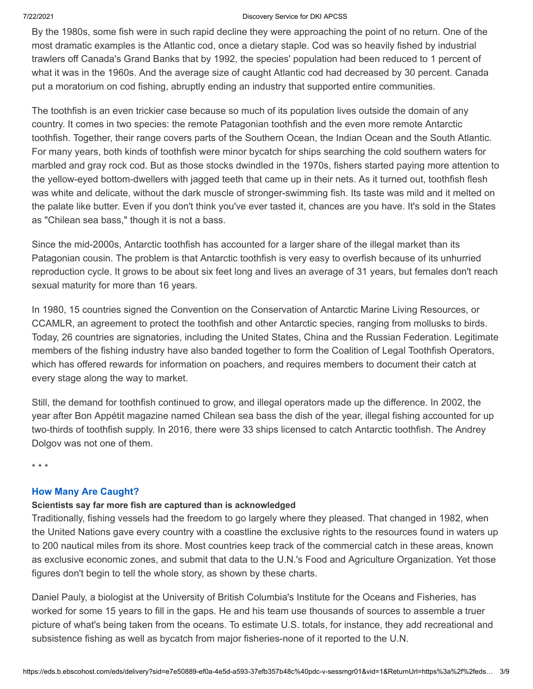By the 1980s, some fish were in such rapid decline they were approaching the point of no return. One of the most dramatic examples is the Atlantic cod, once a dietary staple. Cod was so heavily fished by industrial trawlers off Canada's Grand Banks that by 1992, the species' population had been reduced to 1 percent of what it was in the 1960s. And the average size of caught Atlantic cod had decreased by 30 percent. Canada put a moratorium on cod fishing, abruptly ending an industry that supported entire communities.

The toothfish is an even trickier case because so much of its population lives outside the domain of any country. It comes in two species: the remote Patagonian toothfish and the even more remote Antarctic toothfish. Together, their range covers parts of the Southern Ocean, the Indian Ocean and the South Atlantic. For many years, both kinds of toothfish were minor bycatch for ships searching the cold southern waters for marbled and gray rock cod. But as those stocks dwindled in the 1970s, fishers started paying more attention to the yellow-eyed bottom-dwellers with jagged teeth that came up in their nets. As it turned out, toothfish flesh was white and delicate, without the dark muscle of stronger-swimming fish. Its taste was mild and it melted on the palate like butter. Even if you don't think you've ever tasted it, chances are you have. It's sold in the States as "Chilean sea bass," though it is not a bass.

Since the mid-2000s, Antarctic toothfish has accounted for a larger share of the illegal market than its Patagonian cousin. The problem is that Antarctic toothfish is very easy to overfish because of its unhurried reproduction cycle. It grows to be about six feet long and lives an average of 31 years, but females don't reach sexual maturity for more than 16 years.

In 1980, 15 countries signed the Convention on the Conservation of Antarctic Marine Living Resources, or CCAMLR, an agreement to protect the toothfish and other Antarctic species, ranging from mollusks to birds. Today, 26 countries are signatories, including the United States, China and the Russian Federation. Legitimate members of the fishing industry have also banded together to form the Coalition of Legal Toothfish Operators, which has offered rewards for information on poachers, and requires members to document their catch at every stage along the way to market.

Still, the demand for toothfish continued to grow, and illegal operators made up the difference. In 2002, the year after Bon Appétit magazine named Chilean sea bass the dish of the year, illegal fishing accounted for up two-thirds of toothfish supply. In 2016, there were 33 ships licensed to catch Antarctic toothfish. The Andrey Dolgov was not one of them.

\* \* \*

# **How Many Are Caught?**

## **Scientists say far more fish are captured than is acknowledged**

Traditionally, fishing vessels had the freedom to go largely where they pleased. That changed in 1982, when the United Nations gave every country with a coastline the exclusive rights to the resources found in waters up to 200 nautical miles from its shore. Most countries keep track of the commercial catch in these areas, known as exclusive economic zones, and submit that data to the U.N.'s Food and Agriculture Organization. Yet those figures don't begin to tell the whole story, as shown by these charts.

Daniel Pauly, a biologist at the University of British Columbia's Institute for the Oceans and Fisheries, has worked for some 15 years to fill in the gaps. He and his team use thousands of sources to assemble a truer picture of what's being taken from the oceans. To estimate U.S. totals, for instance, they add recreational and subsistence fishing as well as bycatch from major fisheries-none of it reported to the U.N.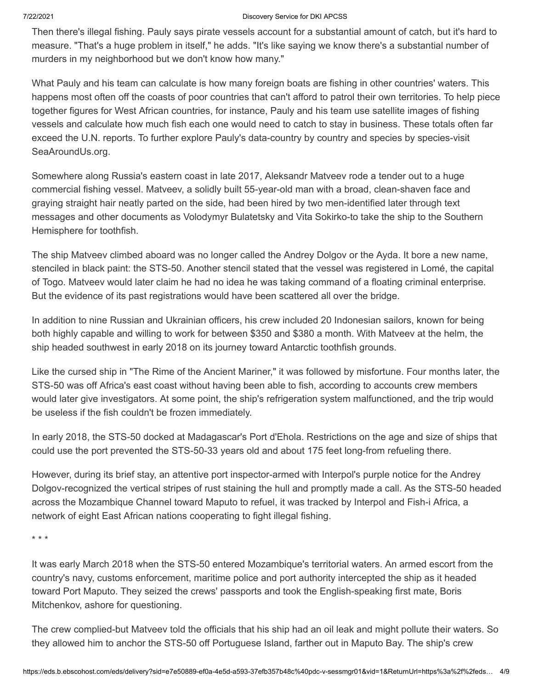Then there's illegal fishing. Pauly says pirate vessels account for a substantial amount of catch, but it's hard to measure. "That's a huge problem in itself," he adds. "It's like saying we know there's a substantial number of murders in my neighborhood but we don't know how many."

What Pauly and his team can calculate is how many foreign boats are fishing in other countries' waters. This happens most often off the coasts of poor countries that can't afford to patrol their own territories. To help piece together figures for West African countries, for instance, Pauly and his team use satellite images of fishing vessels and calculate how much fish each one would need to catch to stay in business. These totals often far exceed the U.N. reports. To further explore Pauly's data-country by country and species by species-visit SeaAroundUs.org.

Somewhere along Russia's eastern coast in late 2017, Aleksandr Matveev rode a tender out to a huge commercial fishing vessel. Matveev, a solidly built 55-year-old man with a broad, clean-shaven face and graying straight hair neatly parted on the side, had been hired by two men-identified later through text messages and other documents as Volodymyr Bulatetsky and Vita Sokirko-to take the ship to the Southern Hemisphere for toothfish.

The ship Matveev climbed aboard was no longer called the Andrey Dolgov or the Ayda. It bore a new name, stenciled in black paint: the STS-50. Another stencil stated that the vessel was registered in Lomé, the capital of Togo. Matveev would later claim he had no idea he was taking command of a floating criminal enterprise. But the evidence of its past registrations would have been scattered all over the bridge.

In addition to nine Russian and Ukrainian officers, his crew included 20 Indonesian sailors, known for being both highly capable and willing to work for between \$350 and \$380 a month. With Matveev at the helm, the ship headed southwest in early 2018 on its journey toward Antarctic toothfish grounds.

Like the cursed ship in "The Rime of the Ancient Mariner," it was followed by misfortune. Four months later, the STS-50 was off Africa's east coast without having been able to fish, according to accounts crew members would later give investigators. At some point, the ship's refrigeration system malfunctioned, and the trip would be useless if the fish couldn't be frozen immediately.

In early 2018, the STS-50 docked at Madagascar's Port d'Ehola. Restrictions on the age and size of ships that could use the port prevented the STS-50-33 years old and about 175 feet long-from refueling there.

However, during its brief stay, an attentive port inspector-armed with Interpol's purple notice for the Andrey Dolgov-recognized the vertical stripes of rust staining the hull and promptly made a call. As the STS-50 headed across the Mozambique Channel toward Maputo to refuel, it was tracked by Interpol and Fish-i Africa, a network of eight East African nations cooperating to fight illegal fishing.

\* \* \*

It was early March 2018 when the STS-50 entered Mozambique's territorial waters. An armed escort from the country's navy, customs enforcement, maritime police and port authority intercepted the ship as it headed toward Port Maputo. They seized the crews' passports and took the English-speaking first mate, Boris Mitchenkov, ashore for questioning.

The crew complied-but Matveev told the officials that his ship had an oil leak and might pollute their waters. So they allowed him to anchor the STS-50 off Portuguese Island, farther out in Maputo Bay. The ship's crew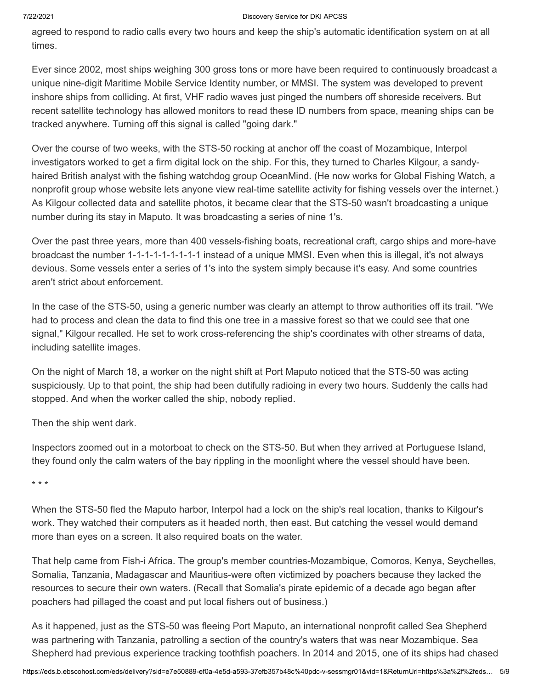agreed to respond to radio calls every two hours and keep the ship's automatic identification system on at all times.

Ever since 2002, most ships weighing 300 gross tons or more have been required to continuously broadcast a unique nine-digit Maritime Mobile Service Identity number, or MMSI. The system was developed to prevent inshore ships from colliding. At first, VHF radio waves just pinged the numbers off shoreside receivers. But recent satellite technology has allowed monitors to read these ID numbers from space, meaning ships can be tracked anywhere. Turning off this signal is called "going dark."

Over the course of two weeks, with the STS-50 rocking at anchor off the coast of Mozambique, Interpol investigators worked to get a firm digital lock on the ship. For this, they turned to Charles Kilgour, a sandyhaired British analyst with the fishing watchdog group OceanMind. (He now works for Global Fishing Watch, a nonprofit group whose website lets anyone view real-time satellite activity for fishing vessels over the internet.) As Kilgour collected data and satellite photos, it became clear that the STS-50 wasn't broadcasting a unique number during its stay in Maputo. It was broadcasting a series of nine 1's.

Over the past three years, more than 400 vessels-fishing boats, recreational craft, cargo ships and more-have broadcast the number 1-1-1-1-1-1-1-1-1 instead of a unique MMSI. Even when this is illegal, it's not always devious. Some vessels enter a series of 1's into the system simply because it's easy. And some countries aren't strict about enforcement.

In the case of the STS-50, using a generic number was clearly an attempt to throw authorities off its trail. "We had to process and clean the data to find this one tree in a massive forest so that we could see that one signal," Kilgour recalled. He set to work cross-referencing the ship's coordinates with other streams of data, including satellite images.

On the night of March 18, a worker on the night shift at Port Maputo noticed that the STS-50 was acting suspiciously. Up to that point, the ship had been dutifully radioing in every two hours. Suddenly the calls had stopped. And when the worker called the ship, nobody replied.

Then the ship went dark.

Inspectors zoomed out in a motorboat to check on the STS-50. But when they arrived at Portuguese Island, they found only the calm waters of the bay rippling in the moonlight where the vessel should have been.

\* \* \*

When the STS-50 fled the Maputo harbor, Interpol had a lock on the ship's real location, thanks to Kilgour's work. They watched their computers as it headed north, then east. But catching the vessel would demand more than eyes on a screen. It also required boats on the water.

That help came from Fish-i Africa. The group's member countries-Mozambique, Comoros, Kenya, Seychelles, Somalia, Tanzania, Madagascar and Mauritius-were often victimized by poachers because they lacked the resources to secure their own waters. (Recall that Somalia's pirate epidemic of a decade ago began after poachers had pillaged the coast and put local fishers out of business.)

As it happened, just as the STS-50 was fleeing Port Maputo, an international nonprofit called Sea Shepherd was partnering with Tanzania, patrolling a section of the country's waters that was near Mozambique. Sea Shepherd had previous experience tracking toothfish poachers. In 2014 and 2015, one of its ships had chased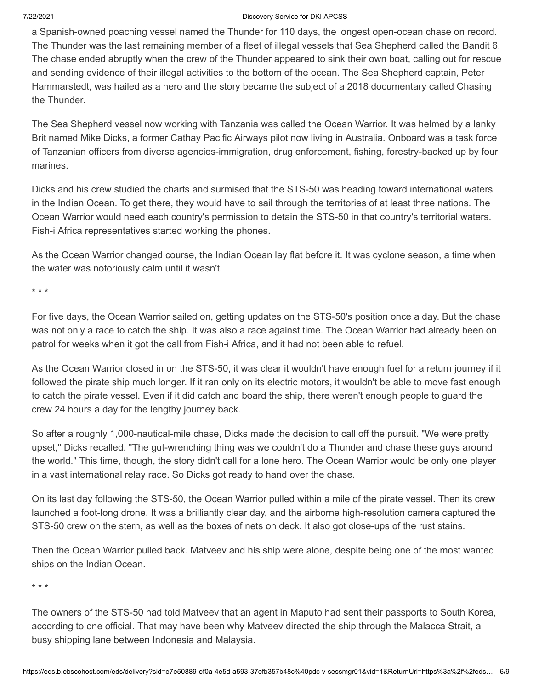a Spanish-owned poaching vessel named the Thunder for 110 days, the longest open-ocean chase on record. The Thunder was the last remaining member of a fleet of illegal vessels that Sea Shepherd called the Bandit 6. The chase ended abruptly when the crew of the Thunder appeared to sink their own boat, calling out for rescue and sending evidence of their illegal activities to the bottom of the ocean. The Sea Shepherd captain, Peter Hammarstedt, was hailed as a hero and the story became the subject of a 2018 documentary called Chasing the Thunder.

The Sea Shepherd vessel now working with Tanzania was called the Ocean Warrior. It was helmed by a lanky Brit named Mike Dicks, a former Cathay Pacific Airways pilot now living in Australia. Onboard was a task force of Tanzanian officers from diverse agencies-immigration, drug enforcement, fishing, forestry-backed up by four marines.

Dicks and his crew studied the charts and surmised that the STS-50 was heading toward international waters in the Indian Ocean. To get there, they would have to sail through the territories of at least three nations. The Ocean Warrior would need each country's permission to detain the STS-50 in that country's territorial waters. Fish-i Africa representatives started working the phones.

As the Ocean Warrior changed course, the Indian Ocean lay flat before it. It was cyclone season, a time when the water was notoriously calm until it wasn't.

\* \* \*

For five days, the Ocean Warrior sailed on, getting updates on the STS-50's position once a day. But the chase was not only a race to catch the ship. It was also a race against time. The Ocean Warrior had already been on patrol for weeks when it got the call from Fish-i Africa, and it had not been able to refuel.

As the Ocean Warrior closed in on the STS-50, it was clear it wouldn't have enough fuel for a return journey if it followed the pirate ship much longer. If it ran only on its electric motors, it wouldn't be able to move fast enough to catch the pirate vessel. Even if it did catch and board the ship, there weren't enough people to guard the crew 24 hours a day for the lengthy journey back.

So after a roughly 1,000-nautical-mile chase, Dicks made the decision to call off the pursuit. "We were pretty upset," Dicks recalled. "The gut-wrenching thing was we couldn't do a Thunder and chase these guys around the world." This time, though, the story didn't call for a lone hero. The Ocean Warrior would be only one player in a vast international relay race. So Dicks got ready to hand over the chase.

On its last day following the STS-50, the Ocean Warrior pulled within a mile of the pirate vessel. Then its crew launched a foot-long drone. It was a brilliantly clear day, and the airborne high-resolution camera captured the STS-50 crew on the stern, as well as the boxes of nets on deck. It also got close-ups of the rust stains.

Then the Ocean Warrior pulled back. Matveev and his ship were alone, despite being one of the most wanted ships on the Indian Ocean.

\* \* \*

The owners of the STS-50 had told Matveev that an agent in Maputo had sent their passports to South Korea, according to one official. That may have been why Matveev directed the ship through the Malacca Strait, a busy shipping lane between Indonesia and Malaysia.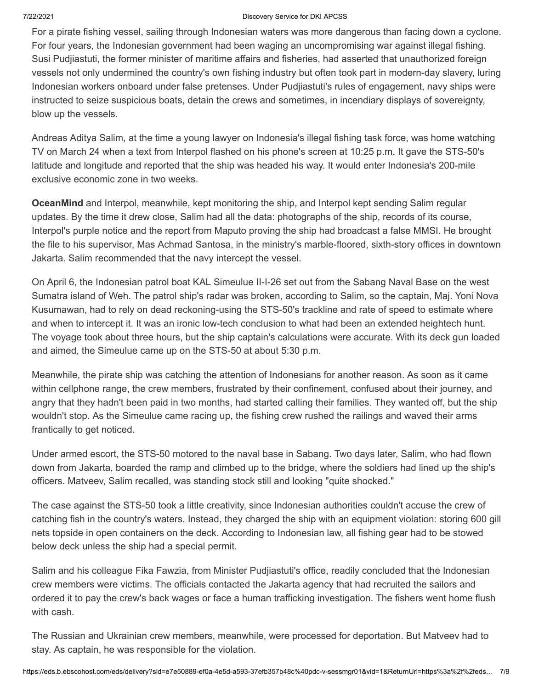For a pirate fishing vessel, sailing through Indonesian waters was more dangerous than facing down a cyclone. For four years, the Indonesian government had been waging an uncompromising war against illegal fishing. Susi Pudjiastuti, the former minister of maritime affairs and fisheries, had asserted that unauthorized foreign vessels not only undermined the country's own fishing industry but often took part in modern-day slavery, luring Indonesian workers onboard under false pretenses. Under Pudjiastuti's rules of engagement, navy ships were instructed to seize suspicious boats, detain the crews and sometimes, in incendiary displays of sovereignty, blow up the vessels.

Andreas Aditya Salim, at the time a young lawyer on Indonesia's illegal fishing task force, was home watching TV on March 24 when a text from Interpol flashed on his phone's screen at 10:25 p.m. It gave the STS-50's latitude and longitude and reported that the ship was headed his way. It would enter Indonesia's 200-mile exclusive economic zone in two weeks.

**OceanMind** and Interpol, meanwhile, kept monitoring the ship, and Interpol kept sending Salim regular updates. By the time it drew close, Salim had all the data: photographs of the ship, records of its course, Interpol's purple notice and the report from Maputo proving the ship had broadcast a false MMSI. He brought the file to his supervisor, Mas Achmad Santosa, in the ministry's marble-floored, sixth-story offices in downtown Jakarta. Salim recommended that the navy intercept the vessel.

On April 6, the Indonesian patrol boat KAL Simeulue II-I-26 set out from the Sabang Naval Base on the west Sumatra island of Weh. The patrol ship's radar was broken, according to Salim, so the captain, Maj. Yoni Nova Kusumawan, had to rely on dead reckoning-using the STS-50's trackline and rate of speed to estimate where and when to intercept it. It was an ironic low-tech conclusion to what had been an extended heightech hunt. The voyage took about three hours, but the ship captain's calculations were accurate. With its deck gun loaded and aimed, the Simeulue came up on the STS-50 at about 5:30 p.m.

Meanwhile, the pirate ship was catching the attention of Indonesians for another reason. As soon as it came within cellphone range, the crew members, frustrated by their confinement, confused about their journey, and angry that they hadn't been paid in two months, had started calling their families. They wanted off, but the ship wouldn't stop. As the Simeulue came racing up, the fishing crew rushed the railings and waved their arms frantically to get noticed.

Under armed escort, the STS-50 motored to the naval base in Sabang. Two days later, Salim, who had flown down from Jakarta, boarded the ramp and climbed up to the bridge, where the soldiers had lined up the ship's officers. Matveev, Salim recalled, was standing stock still and looking "quite shocked."

The case against the STS-50 took a little creativity, since Indonesian authorities couldn't accuse the crew of catching fish in the country's waters. Instead, they charged the ship with an equipment violation: storing 600 gill nets topside in open containers on the deck. According to Indonesian law, all fishing gear had to be stowed below deck unless the ship had a special permit.

Salim and his colleague Fika Fawzia, from Minister Pudjiastuti's office, readily concluded that the Indonesian crew members were victims. The officials contacted the Jakarta agency that had recruited the sailors and ordered it to pay the crew's back wages or face a human trafficking investigation. The fishers went home flush with cash.

The Russian and Ukrainian crew members, meanwhile, were processed for deportation. But Matveev had to stay. As captain, he was responsible for the violation.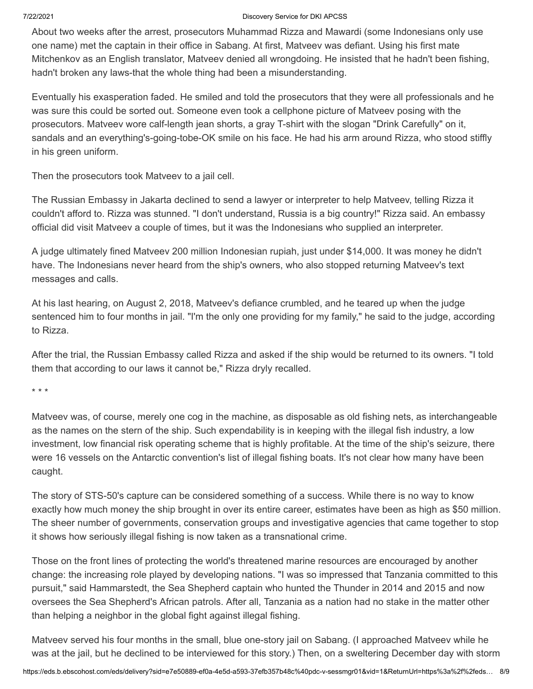About two weeks after the arrest, prosecutors Muhammad Rizza and Mawardi (some Indonesians only use one name) met the captain in their office in Sabang. At first, Matveev was defiant. Using his first mate Mitchenkov as an English translator, Matveev denied all wrongdoing. He insisted that he hadn't been fishing, hadn't broken any laws-that the whole thing had been a misunderstanding.

Eventually his exasperation faded. He smiled and told the prosecutors that they were all professionals and he was sure this could be sorted out. Someone even took a cellphone picture of Matveev posing with the prosecutors. Matveev wore calf-length jean shorts, a gray T-shirt with the slogan "Drink Carefully" on it, sandals and an everything's-going-tobe-OK smile on his face. He had his arm around Rizza, who stood stiffly in his green uniform.

Then the prosecutors took Matveev to a jail cell.

The Russian Embassy in Jakarta declined to send a lawyer or interpreter to help Matveev, telling Rizza it couldn't afford to. Rizza was stunned. "I don't understand, Russia is a big country!" Rizza said. An embassy official did visit Matveev a couple of times, but it was the Indonesians who supplied an interpreter.

A judge ultimately fined Matveev 200 million Indonesian rupiah, just under \$14,000. It was money he didn't have. The Indonesians never heard from the ship's owners, who also stopped returning Matveev's text messages and calls.

At his last hearing, on August 2, 2018, Matveev's defiance crumbled, and he teared up when the judge sentenced him to four months in jail. "I'm the only one providing for my family," he said to the judge, according to Rizza.

After the trial, the Russian Embassy called Rizza and asked if the ship would be returned to its owners. "I told them that according to our laws it cannot be," Rizza dryly recalled.

\* \* \*

Matveev was, of course, merely one cog in the machine, as disposable as old fishing nets, as interchangeable as the names on the stern of the ship. Such expendability is in keeping with the illegal fish industry, a low investment, low financial risk operating scheme that is highly profitable. At the time of the ship's seizure, there were 16 vessels on the Antarctic convention's list of illegal fishing boats. It's not clear how many have been caught.

The story of STS-50's capture can be considered something of a success. While there is no way to know exactly how much money the ship brought in over its entire career, estimates have been as high as \$50 million. The sheer number of governments, conservation groups and investigative agencies that came together to stop it shows how seriously illegal fishing is now taken as a transnational crime.

Those on the front lines of protecting the world's threatened marine resources are encouraged by another change: the increasing role played by developing nations. "I was so impressed that Tanzania committed to this pursuit," said Hammarstedt, the Sea Shepherd captain who hunted the Thunder in 2014 and 2015 and now oversees the Sea Shepherd's African patrols. After all, Tanzania as a nation had no stake in the matter other than helping a neighbor in the global fight against illegal fishing.

Matveev served his four months in the small, blue one-story jail on Sabang. (I approached Matveev while he was at the jail, but he declined to be interviewed for this story.) Then, on a sweltering December day with storm